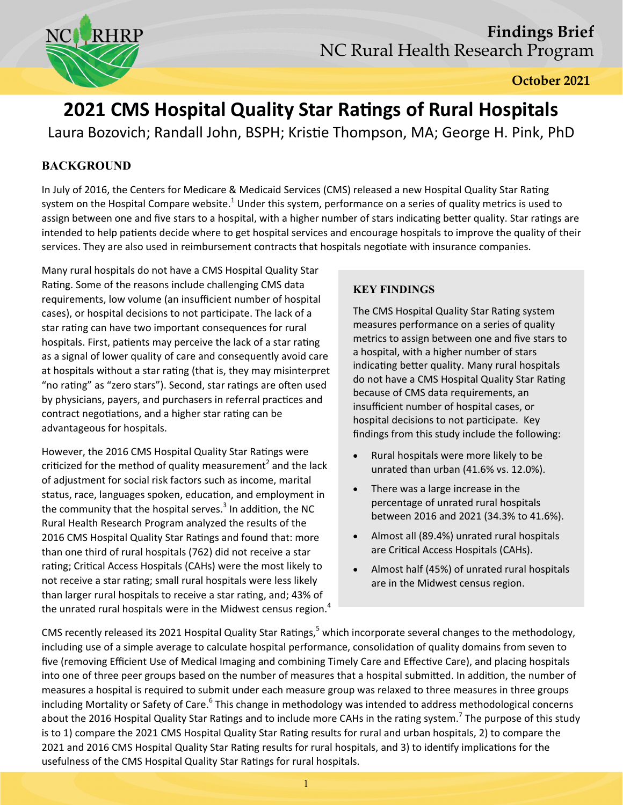

**October 2021** 

# **2021 CMS Hospital Quality Star Ratings of Rural Hospitals**

Laura Bozovich; Randall John, BSPH; Kristie Thompson, MA; George H. Pink, PhD

# **BACKGROUND**

In July of 2016, the Centers for Medicare & Medicaid Services (CMS) released a new Hospital Quality Star Rating system on the Hospital Compare website.<sup>1</sup> Under this system, performance on a series of quality metrics is used to assign between one and five stars to a hospital, with a higher number of stars indicating better quality. Star ratings are intended to help patients decide where to get hospital services and encourage hospitals to improve the quality of their services. They are also used in reimbursement contracts that hospitals negotiate with insurance companies.

Many rural hospitals do not have a CMS Hospital Quality Star Rating. Some of the reasons include challenging CMS data requirements, low volume (an insufficient number of hospital cases), or hospital decisions to not participate. The lack of a star rating can have two important consequences for rural hospitals. First, patients may perceive the lack of a star rating as a signal of lower quality of care and consequently avoid care at hospitals without a star rating (that is, they may misinterpret "no rating" as "zero stars"). Second, star ratings are often used by physicians, payers, and purchasers in referral practices and contract negotiations, and a higher star rating can be advantageous for hospitals.

However, the 2016 CMS Hospital Quality Star Ratings were criticized for the method of quality measurement<sup>2</sup> and the lack of adjustment for social risk factors such as income, marital status, race, languages spoken, education, and employment in the community that the hospital serves. $3$  In addition, the NC Rural Health Research Program analyzed the results of the 2016 CMS Hospital Quality Star Ratings and found that: more than one third of rural hospitals (762) did not receive a star rating; Critical Access Hospitals (CAHs) were the most likely to not receive a star rating; small rural hospitals were less likely than larger rural hospitals to receive a star rating, and; 43% of the unrated rural hospitals were in the Midwest census region. $<sup>4</sup>$ </sup>

## **KEY FINDINGS**

The CMS Hospital Quality Star Rating system measures performance on a series of quality metrics to assign between one and five stars to a hospital, with a higher number of stars indicating better quality. Many rural hospitals do not have a CMS Hospital Quality Star Rating because of CMS data requirements, an insufficient number of hospital cases, or hospital decisions to not participate. Key findings from this study include the following:

- Rural hospitals were more likely to be unrated than urban (41.6% vs. 12.0%).
- There was a large increase in the percentage of unrated rural hospitals between 2016 and 2021 (34.3% to 41.6%).
- Almost all (89.4%) unrated rural hospitals are Critical Access Hospitals (CAHs).
- Almost half (45%) of unrated rural hospitals are in the Midwest census region.

CMS recently released its 2021 Hospital Quality Star Ratings,<sup>5</sup> which incorporate several changes to the methodology, including use of a simple average to calculate hospital performance, consolidation of quality domains from seven to five (removing Efficient Use of Medical Imaging and combining Timely Care and Effective Care), and placing hospitals into one of three peer groups based on the number of measures that a hospital submitted. In addition, the number of measures a hospital is required to submit under each measure group was relaxed to three measures in three groups including Mortality or Safety of Care.<sup>6</sup> This change in methodology was intended to address methodological concerns about the 2016 Hospital Quality Star Ratings and to include more CAHs in the rating system.<sup>7</sup> The purpose of this study is to 1) compare the 2021 CMS Hospital Quality Star Rating results for rural and urban hospitals, 2) to compare the 2021 and 2016 CMS Hospital Quality Star Rating results for rural hospitals, and 3) to identify implications for the usefulness of the CMS Hospital Quality Star Ratings for rural hospitals.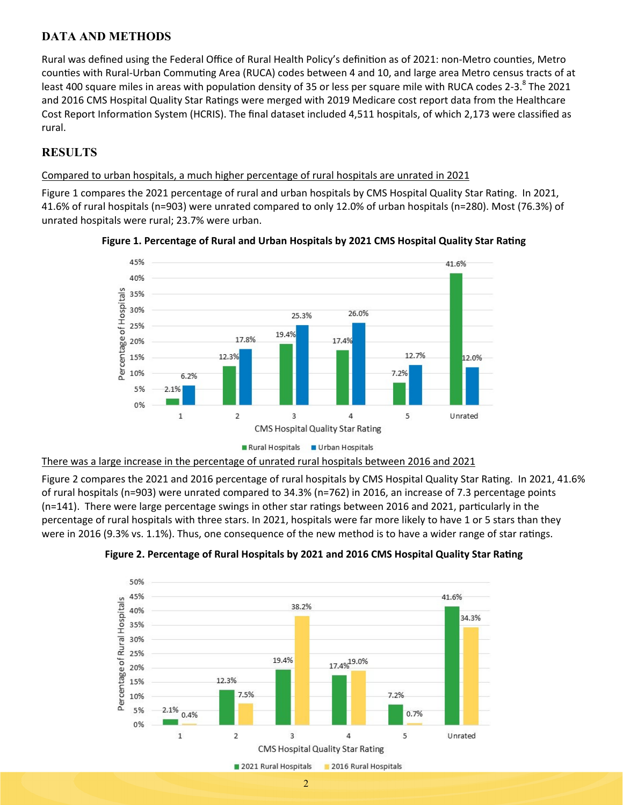# **DATA AND METHODS**

Rural was defined using the Federal Office of Rural Health Policy's definition as of 2021: non-Metro counties, Metro counties with Rural-Urban Commuting Area (RUCA) codes between 4 and 10, and large area Metro census tracts of at least 400 square miles in areas with population density of 35 or less per square mile with RUCA codes 2-3.<sup>8</sup> The 2021 and 2016 CMS Hospital Quality Star Ratings were merged with 2019 Medicare cost report data from the Healthcare Cost Report Information System (HCRIS). The final dataset included 4,511 hospitals, of which 2,173 were classified as rural.

# **RESULTS**

#### Compared to urban hospitals, a much higher percentage of rural hospitals are unrated in 2021

Figure 1 compares the 2021 percentage of rural and urban hospitals by CMS Hospital Quality Star Rating. In 2021, 41.6% of rural hospitals (n=903) were unrated compared to only 12.0% of urban hospitals (n=280). Most (76.3%) of unrated hospitals were rural; 23.7% were urban.





#### There was a large increase in the percentage of unrated rural hospitals between 2016 and 2021

Figure 2 compares the 2021 and 2016 percentage of rural hospitals by CMS Hospital Quality Star Rating. In 2021, 41.6% of rural hospitals (n=903) were unrated compared to 34.3% (n=762) in 2016, an increase of 7.3 percentage points  $(n=141)$ . There were large percentage swings in other star ratings between 2016 and 2021, particularly in the percentage of rural hospitals with three stars. In 2021, hospitals were far more likely to have 1 or 5 stars than they were in 2016 (9.3% vs. 1.1%). Thus, one consequence of the new method is to have a wider range of star ratings.



#### Figure 2. Percentage of Rural Hospitals by 2021 and 2016 CMS Hospital Quality Star Rating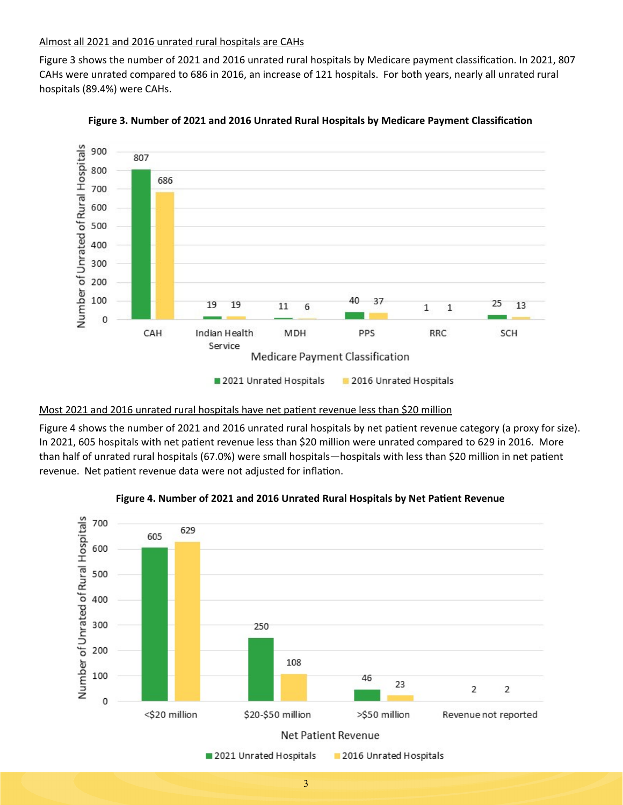#### Almost all 2021 and 2016 unrated rural hospitals are CAHs

Figure 3 shows the number of 2021 and 2016 unrated rural hospitals by Medicare payment classification. In 2021, 807 CAHs were unrated compared to 686 in 2016, an increase of 121 hospitals. For both years, nearly all unrated rural hospitals (89.4%) were CAHs.



**Figure 3. Number of 2021 and 2016 Unrated Rural Hospitals by Medicare Payment Classification** 

#### Most 2021 and 2016 unrated rural hospitals have net patient revenue less than \$20 million

Figure 4 shows the number of 2021 and 2016 unrated rural hospitals by net patient revenue category (a proxy for size). In 2021, 605 hospitals with net patient revenue less than \$20 million were unrated compared to 629 in 2016. More than half of unrated rural hospitals (67.0%) were small hospitals—hospitals with less than \$20 million in net patient revenue. Net patient revenue data were not adjusted for inflation.



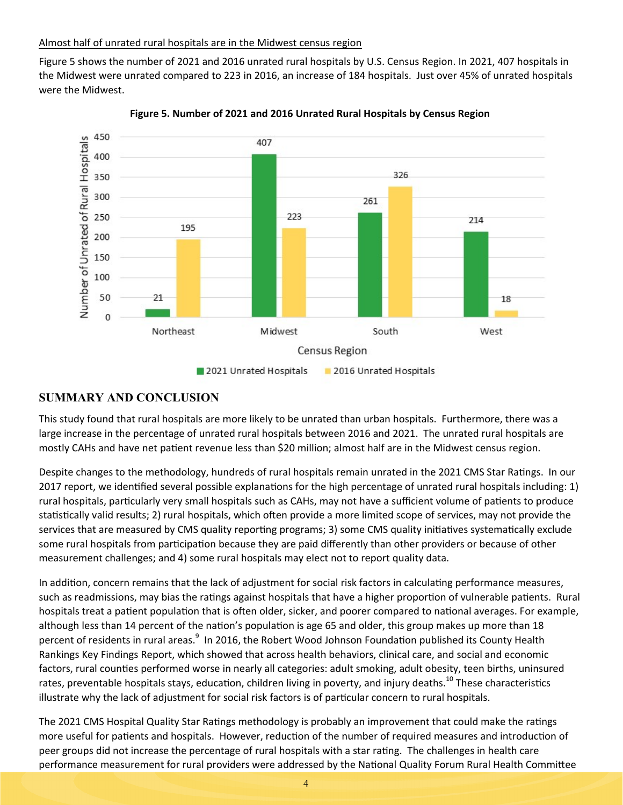#### Almost half of unrated rural hospitals are in the Midwest census region

Figure 5 shows the number of 2021 and 2016 unrated rural hospitals by U.S. Census Region. In 2021, 407 hospitals in the Midwest were unrated compared to 223 in 2016, an increase of 184 hospitals. Just over 45% of unrated hospitals were the Midwest.



**Figure 5. Number of 2021 and 2016 Unrated Rural Hospitals by Census Region** 

## **SUMMARY AND CONCLUSION**

This study found that rural hospitals are more likely to be unrated than urban hospitals. Furthermore, there was a large increase in the percentage of unrated rural hospitals between 2016 and 2021. The unrated rural hospitals are mostly CAHs and have net patient revenue less than \$20 million; almost half are in the Midwest census region.

Despite changes to the methodology, hundreds of rural hospitals remain unrated in the 2021 CMS Star Ratings. In our 2017 report, we identified several possible explanations for the high percentage of unrated rural hospitals including: 1) rural hospitals, particularly very small hospitals such as CAHs, may not have a sufficient volume of patients to produce statistically valid results; 2) rural hospitals, which often provide a more limited scope of services, may not provide the services that are measured by CMS quality reporting programs; 3) some CMS quality initiatives systematically exclude some rural hospitals from participation because they are paid differently than other providers or because of other measurement challenges; and 4) some rural hospitals may elect not to report quality data.

In addition, concern remains that the lack of adjustment for social risk factors in calculating performance measures, such as readmissions, may bias the ratings against hospitals that have a higher proportion of vulnerable patients. Rural hospitals treat a patient population that is often older, sicker, and poorer compared to national averages. For example, although less than 14 percent of the nation's population is age 65 and older, this group makes up more than 18 percent of residents in rural areas.<sup>9</sup> In 2016, the Robert Wood Johnson Foundation published its County Health Rankings Key Findings Report, which showed that across health behaviors, clinical care, and social and economic factors, rural counties performed worse in nearly all categories: adult smoking, adult obesity, teen births, uninsured rates, preventable hospitals stays, education, children living in poverty, and injury deaths.<sup>10</sup> These characteristics illustrate why the lack of adjustment for social risk factors is of particular concern to rural hospitals.

The 2021 CMS Hospital Quality Star Ratings methodology is probably an improvement that could make the ratings more useful for patients and hospitals. However, reduction of the number of required measures and introduction of peer groups did not increase the percentage of rural hospitals with a star rating. The challenges in health care performance measurement for rural providers were addressed by the National Quality Forum Rural Health Committee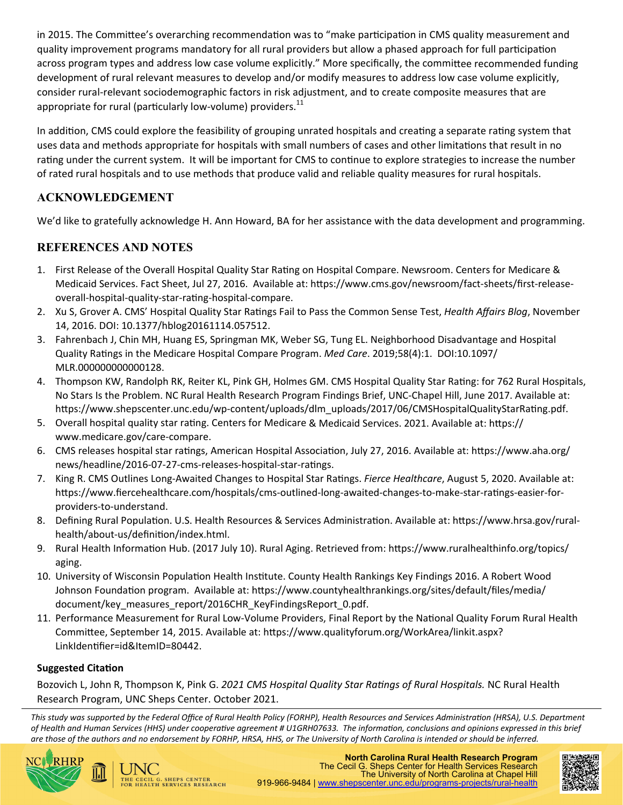in 2015. The Committee's overarching recommendation was to "make participation in CMS quality measurement and quality improvement programs mandatory for all rural providers but allow a phased approach for full participation across program types and address low case volume explicitly." More specifically, the committee recommended funding development of rural relevant measures to develop and/or modify measures to address low case volume explicitly, consider rural‐relevant sociodemographic factors in risk adjustment, and to create composite measures that are appropriate for rural (particularly low-volume) providers. $^{11}$ 

In addition, CMS could explore the feasibility of grouping unrated hospitals and creating a separate rating system that uses data and methods appropriate for hospitals with small numbers of cases and other limitations that result in no rating under the current system. It will be important for CMS to continue to explore strategies to increase the number of rated rural hospitals and to use methods that produce valid and reliable quality measures for rural hospitals.

# **ACKNOWLEDGEMENT**

We'd like to gratefully acknowledge H. Ann Howard, BA for her assistance with the data development and programming.

# **REFERENCES AND NOTES**

- 1. First Release of the Overall Hospital Quality Star Rating on Hospital Compare. Newsroom. Centers for Medicare & Medicaid Services. Fact Sheet, Jul 27, 2016. Available at: https://www.cms.gov/newsroom/fact-sheets/first-releaseoverall-hospital-quality-star-rating-hospital-compare.
- 2. Xu S, Grover A. CMS' Hospital Quality Star Ratings Fail to Pass the Common Sense Test, *Health Affairs Blog*, November 14, 2016. DOI: 10.1377/hblog20161114.057512.
- 3. Fahrenbach J, Chin MH, Huang ES, Springman MK, Weber SG, Tung EL. Neighborhood Disadvantage and Hospital Quality Ratings in the Medicare Hospital Compare Program. *Med Care*. 2019;58(4):1. DOI:10.1097/ MLR.000000000000128.
- 4. Thompson KW, Randolph RK, Reiter KL, Pink GH, Holmes GM. CMS Hospital Quality Star Rating: for 762 Rural Hospitals, No Stars Is the Problem. NC Rural Health Research Program Findings Brief, UNC‐Chapel Hill, June 2017. Available at: https://www.shepscenter.unc.edu/wp-content/uploads/dlm\_uploads/2017/06/CMSHospitalQualityStarRating.pdf.
- 5. Overall hospital quality star rating. Centers for Medicare & Medicaid Services. 2021. Available at: https:// www.medicare.gov/care‐compare.
- 6. CMS releases hospital star ratings, American Hospital Association, July 27, 2016. Available at: https://www.aha.org/ news/headline/2016-07-27-cms-releases-hospital-star-ratings.
- 7. King R. CMS Outlines Long-Awaited Changes to Hospital Star Ratings. *Fierce Healthcare*, August 5, 2020. Available at: https://www.fiercehealthcare.com/hospitals/cms-outlined-long-awaited-changes-to-make-star-ratings-easier-forproviders‐to‐understand.
- 8. Defining Rural Population. U.S. Health Resources & Services Administration. Available at: https://www.hrsa.gov/ruralhealth/about-us/definition/index.html.
- 9. Rural Health Information Hub. (2017 July 10). Rural Aging. Retrieved from: https://www.ruralhealthinfo.org/topics/ aging.
- 10. University of Wisconsin Population Health Institute. County Health Rankings Key Findings 2016. A Robert Wood Johnson Foundation program. Available at: https://www.countyhealthrankings.org/sites/default/files/media/ document/key\_measures\_report/2016CHR\_KeyFindingsReport\_0.pdf.
- 11. Performance Measurement for Rural Low-Volume Providers, Final Report by the National Quality Forum Rural Health Committee, September 14, 2015. Available at: https://www.qualityforum.org/WorkArea/linkit.aspx? LinkIdentifier=id&ItemID=80442.

# **Suggested CitaƟon**

HE CECIL G. SHEPS CENTER<br>OR HEALTH SERVICES RESEARCH

Bozovich L, John R, Thompson K, Pink G. *2021 CMS Hospital Quality Star RaƟngs of Rural Hospitals.* NC Rural Health Research Program, UNC Sheps Center. October 2021.

*This study was supported by the Federal Office of Rural Health Policy (FORHP), Health Resources and Services AdministraƟon (HRSA), U.S. Department of Health and Human Services (HHS) under cooperaƟve agreement # U1GRH07633. The informaƟon, conclusions and opinions expressed in this brief are those of the authors and no endorsement by FORHP, HRSA, HHS, or The University of North Carolina is intended or should be inferred.*



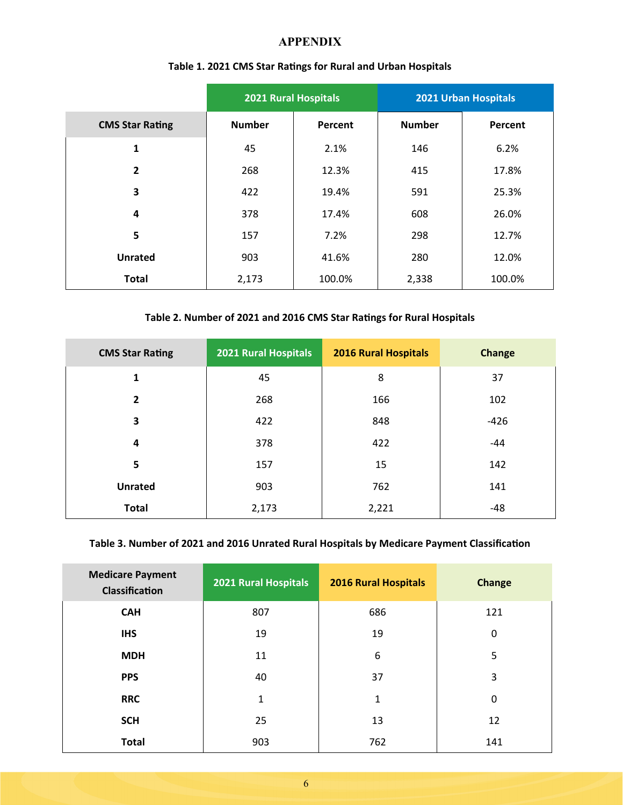#### **APPENDIX**

|                        | <b>2021 Rural Hospitals</b> |         | 2021 Urban Hospitals |         |
|------------------------|-----------------------------|---------|----------------------|---------|
| <b>CMS Star Rating</b> | <b>Number</b>               | Percent | <b>Number</b>        | Percent |
| 1                      | 45                          | 2.1%    | 146                  | 6.2%    |
| $\overline{2}$         | 268                         | 12.3%   | 415                  | 17.8%   |
| 3                      | 422                         | 19.4%   | 591                  | 25.3%   |
| 4                      | 378                         | 17.4%   | 608                  | 26.0%   |
| 5                      | 157                         | 7.2%    | 298                  | 12.7%   |
| <b>Unrated</b>         | 903                         | 41.6%   | 280                  | 12.0%   |
| <b>Total</b>           | 2,173                       | 100.0%  | 2,338                | 100.0%  |

## **Table 1. 2021 CMS Star RaƟngs for Rural and Urban Hospitals**

#### **Table 2. Number of 2021 and 2016 CMS Star RaƟngs for Rural Hospitals**

| <b>CMS Star Rating</b> | 2021 Rural Hospitals | <b>2016 Rural Hospitals</b> | <b>Change</b> |
|------------------------|----------------------|-----------------------------|---------------|
| $\mathbf{1}$           | 45                   | 8                           | 37            |
| $\overline{2}$         | 268                  | 166                         | 102           |
| 3                      | 422                  | 848                         | $-426$        |
| 4                      | 378                  | 422                         | $-44$         |
| 5                      | 157                  | 15                          | 142           |
| <b>Unrated</b>         | 903                  | 762                         | 141           |
| <b>Total</b>           | 2,173                | 2,221                       | $-48$         |

## Table 3. Number of 2021 and 2016 Unrated Rural Hospitals by Medicare Payment Classification

| <b>Medicare Payment</b><br>Classification | 2021 Rural Hospitals | <b>2016 Rural Hospitals</b> | <b>Change</b> |
|-------------------------------------------|----------------------|-----------------------------|---------------|
| <b>CAH</b>                                | 807                  | 686                         | 121           |
| <b>IHS</b>                                | 19                   | 19                          | 0             |
| <b>MDH</b>                                | 11                   | 6                           | 5             |
| <b>PPS</b>                                | 40                   | 37                          | 3             |
| <b>RRC</b>                                | $\mathbf{1}$         | 1                           | 0             |
| <b>SCH</b>                                | 25                   | 13                          | 12            |
| <b>Total</b>                              | 903                  | 762                         | 141           |